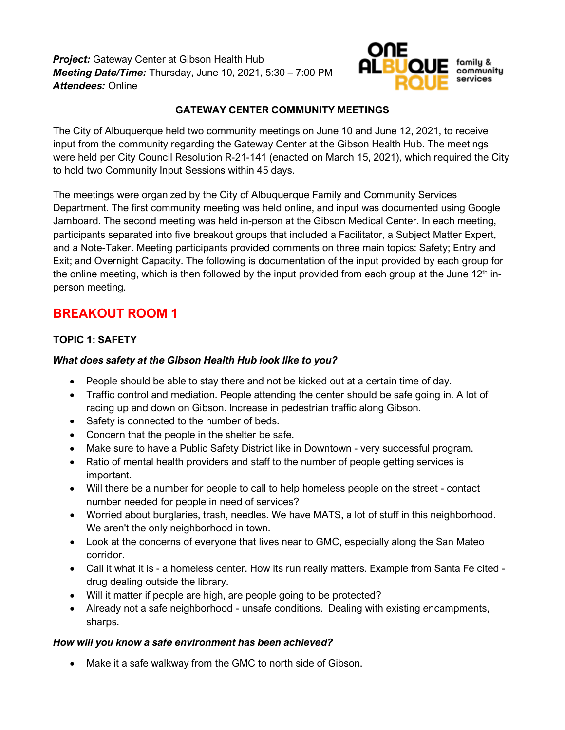*Project:* Gateway Center at Gibson Health Hub *Meeting Date/Time:* Thursday, June 10, 2021, 5:30 – 7:00 PM *Attendees:* Online



## **GATEWAY CENTER COMMUNITY MEETINGS**

The City of Albuquerque held two community meetings on June 10 and June 12, 2021, to receive input from the community regarding the Gateway Center at the Gibson Health Hub. The meetings were held per City Council Resolution R-21-141 (enacted on March 15, 2021), which required the City to hold two Community Input Sessions within 45 days.

The meetings were organized by the City of Albuquerque Family and Community Services Department. The first community meeting was held online, and input was documented using Google Jamboard. The second meeting was held in-person at the Gibson Medical Center. In each meeting, participants separated into five breakout groups that included a Facilitator, a Subject Matter Expert, and a Note-Taker. Meeting participants provided comments on three main topics: Safety; Entry and Exit; and Overnight Capacity. The following is documentation of the input provided by each group for the online meeting, which is then followed by the input provided from each group at the June  $12<sup>th</sup>$  inperson meeting.

## **BREAKOUT ROOM 1**

## **TOPIC 1: SAFETY**

## *What does safety at the Gibson Health Hub look like to you?*

- People should be able to stay there and not be kicked out at a certain time of day.
- Traffic control and mediation. People attending the center should be safe going in. A lot of racing up and down on Gibson. Increase in pedestrian traffic along Gibson.
- Safety is connected to the number of beds.
- Concern that the people in the shelter be safe.
- Make sure to have a Public Safety District like in Downtown very successful program.
- Ratio of mental health providers and staff to the number of people getting services is important.
- Will there be a number for people to call to help homeless people on the street contact number needed for people in need of services?
- Worried about burglaries, trash, needles. We have MATS, a lot of stuff in this neighborhood. We aren't the only neighborhood in town.
- Look at the concerns of everyone that lives near to GMC, especially along the San Mateo corridor.
- Call it what it is a homeless center. How its run really matters. Example from Santa Fe cited drug dealing outside the library.
- Will it matter if people are high, are people going to be protected?
- Already not a safe neighborhood unsafe conditions. Dealing with existing encampments, sharps.

## *How will you know a safe environment has been achieved?*

• Make it a safe walkway from the GMC to north side of Gibson.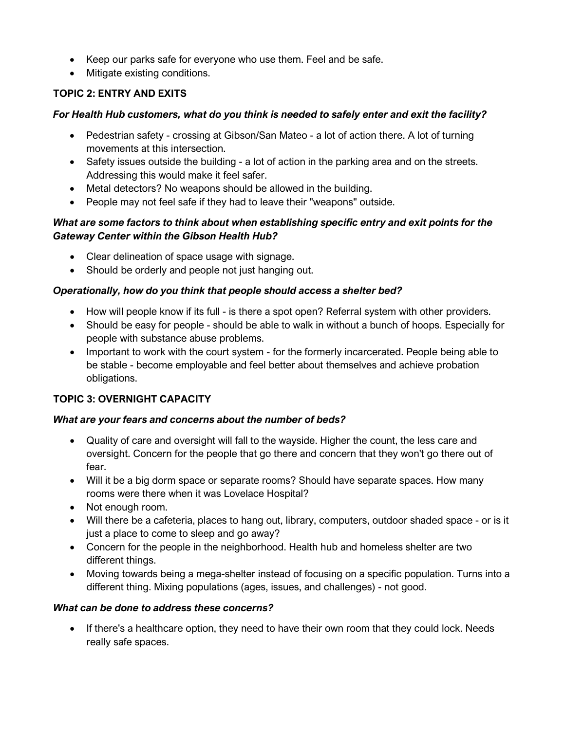- Keep our parks safe for everyone who use them. Feel and be safe.
- Mitigate existing conditions.

## **TOPIC 2: ENTRY AND EXITS**

## *For Health Hub customers, what do you think is needed to safely enter and exit the facility?*

- Pedestrian safety crossing at Gibson/San Mateo a lot of action there. A lot of turning movements at this intersection.
- Safety issues outside the building a lot of action in the parking area and on the streets. Addressing this would make it feel safer.
- Metal detectors? No weapons should be allowed in the building.
- People may not feel safe if they had to leave their "weapons" outside.

## *What are some factors to think about when establishing specific entry and exit points for the Gateway Center within the Gibson Health Hub?*

- Clear delineation of space usage with signage.
- Should be orderly and people not just hanging out.

## *Operationally, how do you think that people should access a shelter bed?*

- How will people know if its full is there a spot open? Referral system with other providers.
- Should be easy for people should be able to walk in without a bunch of hoops. Especially for people with substance abuse problems.
- Important to work with the court system for the formerly incarcerated. People being able to be stable - become employable and feel better about themselves and achieve probation obligations.

## **TOPIC 3: OVERNIGHT CAPACITY**

## *What are your fears and concerns about the number of beds?*

- Quality of care and oversight will fall to the wayside. Higher the count, the less care and oversight. Concern for the people that go there and concern that they won't go there out of fear.
- Will it be a big dorm space or separate rooms? Should have separate spaces. How many rooms were there when it was Lovelace Hospital?
- Not enough room.
- Will there be a cafeteria, places to hang out, library, computers, outdoor shaded space or is it just a place to come to sleep and go away?
- Concern for the people in the neighborhood. Health hub and homeless shelter are two different things.
- Moving towards being a mega-shelter instead of focusing on a specific population. Turns into a different thing. Mixing populations (ages, issues, and challenges) - not good.

## *What can be done to address these concerns?*

• If there's a healthcare option, they need to have their own room that they could lock. Needs really safe spaces.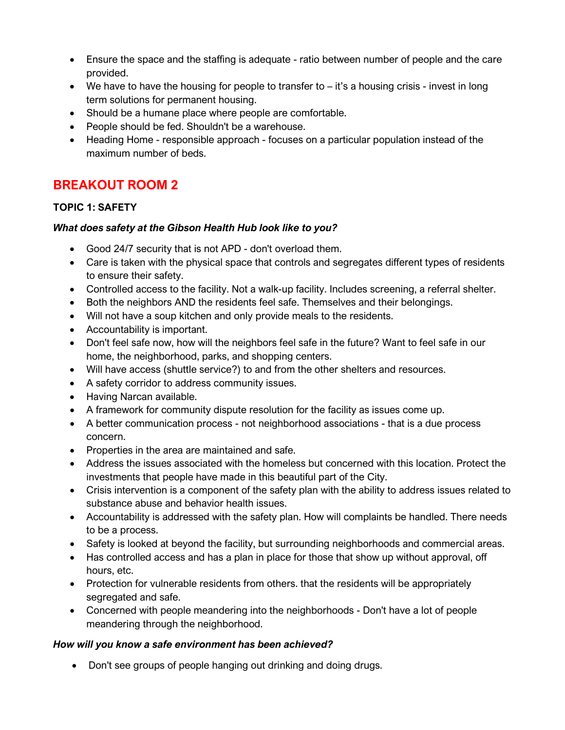- Ensure the space and the staffing is adequate ratio between number of people and the care provided.
- We have to have the housing for people to transfer to it's a housing crisis invest in long term solutions for permanent housing.
- Should be a humane place where people are comfortable.
- People should be fed. Shouldn't be a warehouse.
- Heading Home responsible approach focuses on a particular population instead of the maximum number of beds.

## **BREAKOUT ROOM 2**

## **TOPIC 1: SAFETY**

## *What does safety at the Gibson Health Hub look like to you?*

- Good 24/7 security that is not APD don't overload them.
- Care is taken with the physical space that controls and segregates different types of residents to ensure their safety.
- Controlled access to the facility. Not a walk-up facility. Includes screening, a referral shelter.
- Both the neighbors AND the residents feel safe. Themselves and their belongings.
- Will not have a soup kitchen and only provide meals to the residents.
- Accountability is important.
- Don't feel safe now, how will the neighbors feel safe in the future? Want to feel safe in our home, the neighborhood, parks, and shopping centers.
- Will have access (shuttle service?) to and from the other shelters and resources.
- A safety corridor to address community issues.
- Having Narcan available.
- A framework for community dispute resolution for the facility as issues come up.
- A better communication process not neighborhood associations that is a due process concern.
- Properties in the area are maintained and safe.
- Address the issues associated with the homeless but concerned with this location. Protect the investments that people have made in this beautiful part of the City.
- Crisis intervention is a component of the safety plan with the ability to address issues related to substance abuse and behavior health issues.
- Accountability is addressed with the safety plan. How will complaints be handled. There needs to be a process.
- Safety is looked at beyond the facility, but surrounding neighborhoods and commercial areas.
- Has controlled access and has a plan in place for those that show up without approval, off hours, etc.
- Protection for vulnerable residents from others. that the residents will be appropriately segregated and safe.
- Concerned with people meandering into the neighborhoods Don't have a lot of people meandering through the neighborhood.

## *How will you know a safe environment has been achieved?*

• Don't see groups of people hanging out drinking and doing drugs.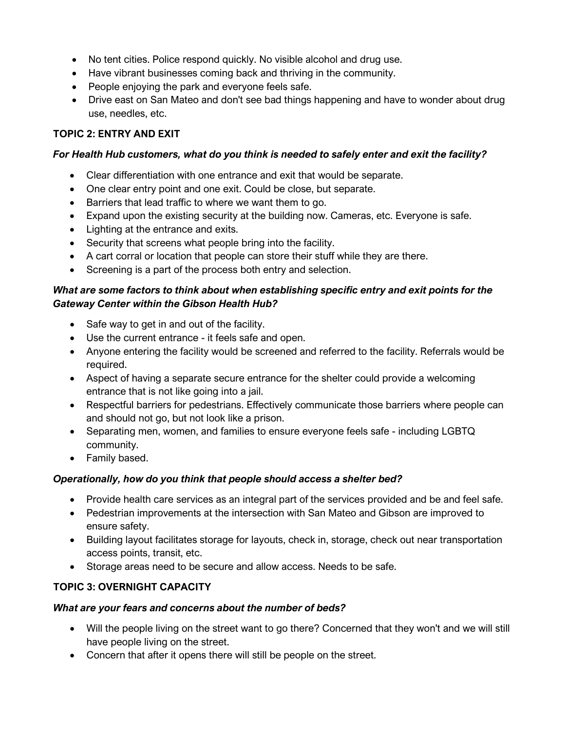- No tent cities. Police respond quickly. No visible alcohol and drug use.
- Have vibrant businesses coming back and thriving in the community.
- People enjoying the park and everyone feels safe.
- Drive east on San Mateo and don't see bad things happening and have to wonder about drug use, needles, etc.

## **TOPIC 2: ENTRY AND EXIT**

### *For Health Hub customers, what do you think is needed to safely enter and exit the facility?*

- Clear differentiation with one entrance and exit that would be separate.
- One clear entry point and one exit. Could be close, but separate.
- Barriers that lead traffic to where we want them to go.
- Expand upon the existing security at the building now. Cameras, etc. Everyone is safe.
- Lighting at the entrance and exits.
- Security that screens what people bring into the facility.
- A cart corral or location that people can store their stuff while they are there.
- Screening is a part of the process both entry and selection.

### *What are some factors to think about when establishing specific entry and exit points for the Gateway Center within the Gibson Health Hub?*

- Safe way to get in and out of the facility.
- Use the current entrance it feels safe and open.
- Anyone entering the facility would be screened and referred to the facility. Referrals would be required.
- Aspect of having a separate secure entrance for the shelter could provide a welcoming entrance that is not like going into a jail.
- Respectful barriers for pedestrians. Effectively communicate those barriers where people can and should not go, but not look like a prison.
- Separating men, women, and families to ensure everyone feels safe including LGBTQ community.
- Family based.

## *Operationally, how do you think that people should access a shelter bed?*

- Provide health care services as an integral part of the services provided and be and feel safe.
- Pedestrian improvements at the intersection with San Mateo and Gibson are improved to ensure safety.
- Building layout facilitates storage for layouts, check in, storage, check out near transportation access points, transit, etc.
- Storage areas need to be secure and allow access. Needs to be safe.

## **TOPIC 3: OVERNIGHT CAPACITY**

- Will the people living on the street want to go there? Concerned that they won't and we will still have people living on the street.
- Concern that after it opens there will still be people on the street.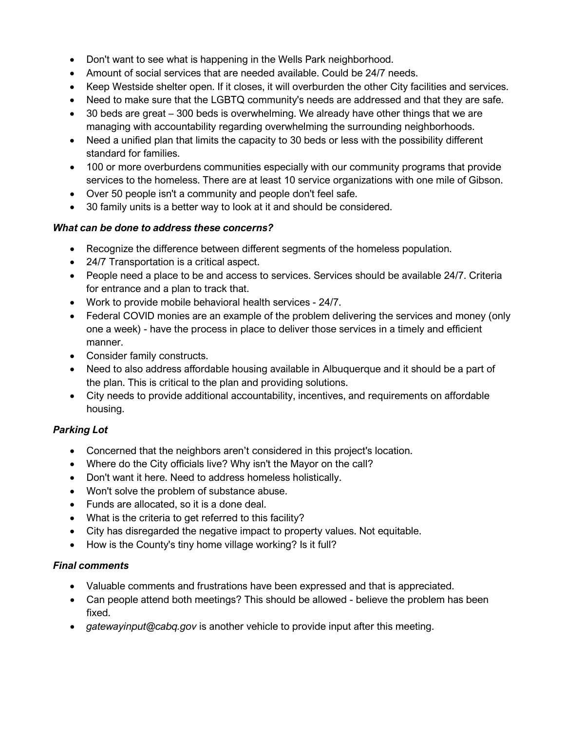- Don't want to see what is happening in the Wells Park neighborhood.
- Amount of social services that are needed available. Could be 24/7 needs.
- Keep Westside shelter open. If it closes, it will overburden the other City facilities and services.
- Need to make sure that the LGBTQ community's needs are addressed and that they are safe.
- 30 beds are great 300 beds is overwhelming. We already have other things that we are managing with accountability regarding overwhelming the surrounding neighborhoods.
- Need a unified plan that limits the capacity to 30 beds or less with the possibility different standard for families.
- 100 or more overburdens communities especially with our community programs that provide services to the homeless. There are at least 10 service organizations with one mile of Gibson.
- Over 50 people isn't a community and people don't feel safe.
- 30 family units is a better way to look at it and should be considered.

## *What can be done to address these concerns?*

- Recognize the difference between different segments of the homeless population.
- 24/7 Transportation is a critical aspect.
- People need a place to be and access to services. Services should be available 24/7. Criteria for entrance and a plan to track that.
- Work to provide mobile behavioral health services 24/7.
- Federal COVID monies are an example of the problem delivering the services and money (only one a week) - have the process in place to deliver those services in a timely and efficient manner.
- Consider family constructs.
- Need to also address affordable housing available in Albuquerque and it should be a part of the plan. This is critical to the plan and providing solutions.
- City needs to provide additional accountability, incentives, and requirements on affordable housing.

## *Parking Lot*

- Concerned that the neighbors aren't considered in this project's location.
- Where do the City officials live? Why isn't the Mayor on the call?
- Don't want it here. Need to address homeless holistically.
- Won't solve the problem of substance abuse.
- Funds are allocated, so it is a done deal.
- What is the criteria to get referred to this facility?
- City has disregarded the negative impact to property values. Not equitable.
- How is the County's tiny home village working? Is it full?

## *Final comments*

- Valuable comments and frustrations have been expressed and that is appreciated.
- Can people attend both meetings? This should be allowed believe the problem has been fixed.
- *gatewayinput@cabq.gov* is another vehicle to provide input after this meeting.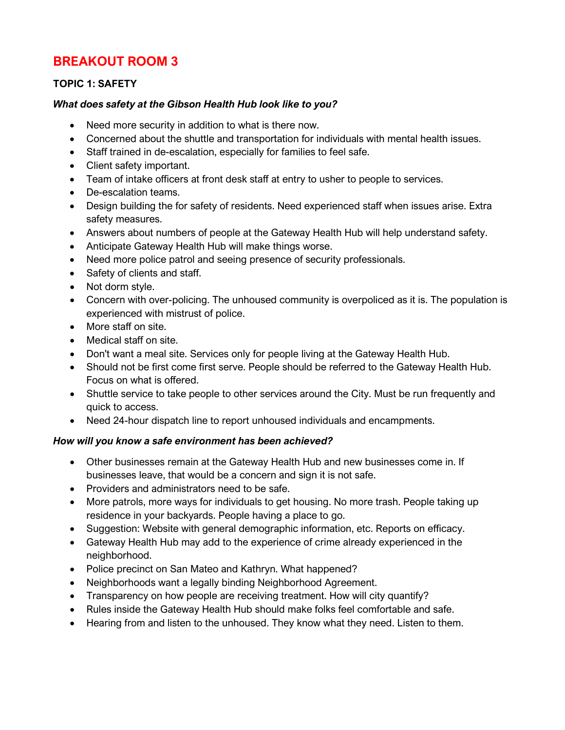## **BREAKOUT ROOM 3**

## **TOPIC 1: SAFETY**

### *What does safety at the Gibson Health Hub look like to you?*

- Need more security in addition to what is there now.
- Concerned about the shuttle and transportation for individuals with mental health issues.
- Staff trained in de-escalation, especially for families to feel safe.
- Client safety important.
- Team of intake officers at front desk staff at entry to usher to people to services.
- De-escalation teams.
- Design building the for safety of residents. Need experienced staff when issues arise. Extra safety measures.
- Answers about numbers of people at the Gateway Health Hub will help understand safety.
- Anticipate Gateway Health Hub will make things worse.
- Need more police patrol and seeing presence of security professionals.
- Safety of clients and staff.
- Not dorm style.
- Concern with over-policing. The unhoused community is overpoliced as it is. The population is experienced with mistrust of police.
- More staff on site.
- Medical staff on site.
- Don't want a meal site. Services only for people living at the Gateway Health Hub.
- Should not be first come first serve. People should be referred to the Gateway Health Hub. Focus on what is offered.
- Shuttle service to take people to other services around the City. Must be run frequently and quick to access.
- Need 24-hour dispatch line to report unhoused individuals and encampments.

## *How will you know a safe environment has been achieved?*

- Other businesses remain at the Gateway Health Hub and new businesses come in. If businesses leave, that would be a concern and sign it is not safe.
- Providers and administrators need to be safe.
- More patrols, more ways for individuals to get housing. No more trash. People taking up residence in your backyards. People having a place to go.
- Suggestion: Website with general demographic information, etc. Reports on efficacy.
- Gateway Health Hub may add to the experience of crime already experienced in the neighborhood.
- Police precinct on San Mateo and Kathryn. What happened?
- Neighborhoods want a legally binding Neighborhood Agreement.
- Transparency on how people are receiving treatment. How will city quantify?
- Rules inside the Gateway Health Hub should make folks feel comfortable and safe.
- Hearing from and listen to the unhoused. They know what they need. Listen to them.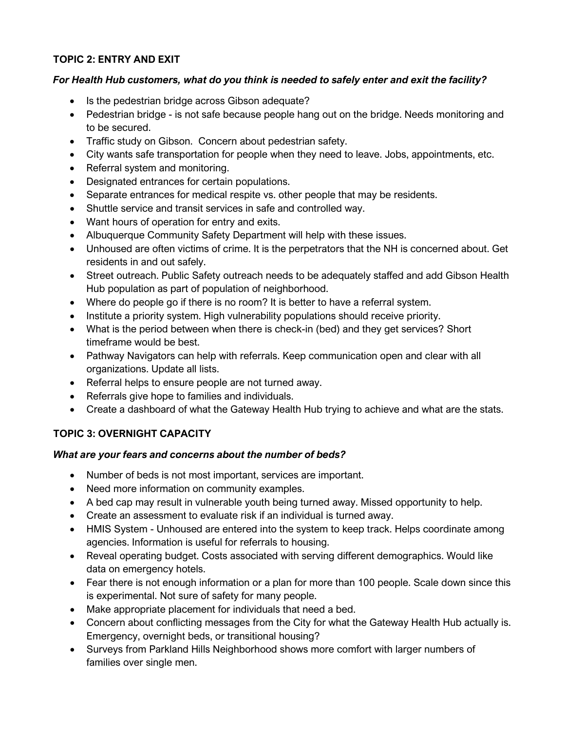## **TOPIC 2: ENTRY AND EXIT**

#### *For Health Hub customers, what do you think is needed to safely enter and exit the facility?*

- Is the pedestrian bridge across Gibson adequate?
- Pedestrian bridge is not safe because people hang out on the bridge. Needs monitoring and to be secured.
- Traffic study on Gibson. Concern about pedestrian safety.
- City wants safe transportation for people when they need to leave. Jobs, appointments, etc.
- Referral system and monitoring.
- Designated entrances for certain populations.
- Separate entrances for medical respite vs. other people that may be residents.
- Shuttle service and transit services in safe and controlled way.
- Want hours of operation for entry and exits.
- Albuquerque Community Safety Department will help with these issues.
- Unhoused are often victims of crime. It is the perpetrators that the NH is concerned about. Get residents in and out safely.
- Street outreach. Public Safety outreach needs to be adequately staffed and add Gibson Health Hub population as part of population of neighborhood.
- Where do people go if there is no room? It is better to have a referral system.
- Institute a priority system. High vulnerability populations should receive priority.
- What is the period between when there is check-in (bed) and they get services? Short timeframe would be best.
- Pathway Navigators can help with referrals. Keep communication open and clear with all organizations. Update all lists.
- Referral helps to ensure people are not turned away.
- Referrals give hope to families and individuals.
- Create a dashboard of what the Gateway Health Hub trying to achieve and what are the stats.

## **TOPIC 3: OVERNIGHT CAPACITY**

- Number of beds is not most important, services are important.
- Need more information on community examples.
- A bed cap may result in vulnerable youth being turned away. Missed opportunity to help.
- Create an assessment to evaluate risk if an individual is turned away.
- HMIS System Unhoused are entered into the system to keep track. Helps coordinate among agencies. Information is useful for referrals to housing.
- Reveal operating budget. Costs associated with serving different demographics. Would like data on emergency hotels.
- Fear there is not enough information or a plan for more than 100 people. Scale down since this is experimental. Not sure of safety for many people.
- Make appropriate placement for individuals that need a bed.
- Concern about conflicting messages from the City for what the Gateway Health Hub actually is. Emergency, overnight beds, or transitional housing?
- Surveys from Parkland Hills Neighborhood shows more comfort with larger numbers of families over single men.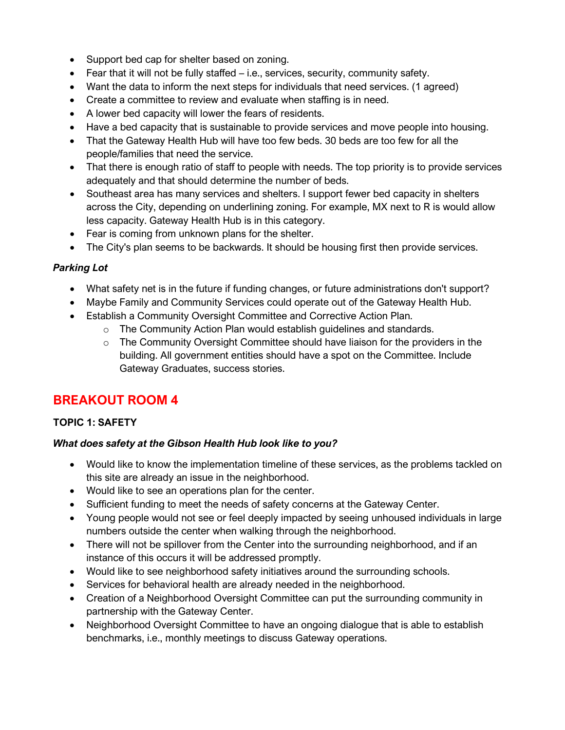- Support bed cap for shelter based on zoning.
- Fear that it will not be fully staffed i.e., services, security, community safety.
- Want the data to inform the next steps for individuals that need services. (1 agreed)
- Create a committee to review and evaluate when staffing is in need.
- A lower bed capacity will lower the fears of residents.
- Have a bed capacity that is sustainable to provide services and move people into housing.
- That the Gateway Health Hub will have too few beds. 30 beds are too few for all the people/families that need the service.
- That there is enough ratio of staff to people with needs. The top priority is to provide services adequately and that should determine the number of beds.
- Southeast area has many services and shelters. I support fewer bed capacity in shelters across the City, depending on underlining zoning. For example, MX next to R is would allow less capacity. Gateway Health Hub is in this category.
- Fear is coming from unknown plans for the shelter.
- The City's plan seems to be backwards. It should be housing first then provide services.

## *Parking Lot*

- What safety net is in the future if funding changes, or future administrations don't support?
- Maybe Family and Community Services could operate out of the Gateway Health Hub.
- Establish a Community Oversight Committee and Corrective Action Plan.
	- o The Community Action Plan would establish guidelines and standards.
	- $\circ$  The Community Oversight Committee should have liaison for the providers in the building. All government entities should have a spot on the Committee. Include Gateway Graduates, success stories.

# **BREAKOUT ROOM 4**

## **TOPIC 1: SAFETY**

## *What does safety at the Gibson Health Hub look like to you?*

- Would like to know the implementation timeline of these services, as the problems tackled on this site are already an issue in the neighborhood.
- Would like to see an operations plan for the center.
- Sufficient funding to meet the needs of safety concerns at the Gateway Center.
- Young people would not see or feel deeply impacted by seeing unhoused individuals in large numbers outside the center when walking through the neighborhood.
- There will not be spillover from the Center into the surrounding neighborhood, and if an instance of this occurs it will be addressed promptly.
- Would like to see neighborhood safety initiatives around the surrounding schools.
- Services for behavioral health are already needed in the neighborhood.
- Creation of a Neighborhood Oversight Committee can put the surrounding community in partnership with the Gateway Center.
- Neighborhood Oversight Committee to have an ongoing dialogue that is able to establish benchmarks, i.e., monthly meetings to discuss Gateway operations.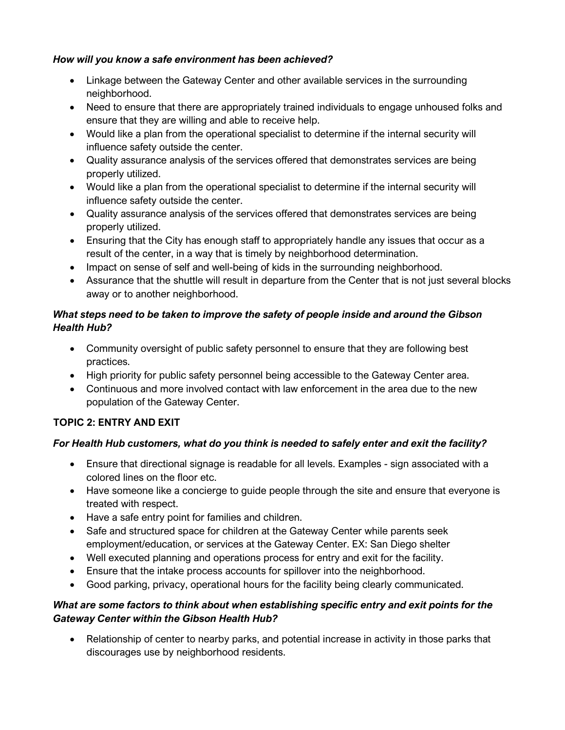### *How will you know a safe environment has been achieved?*

- Linkage between the Gateway Center and other available services in the surrounding neighborhood.
- Need to ensure that there are appropriately trained individuals to engage unhoused folks and ensure that they are willing and able to receive help.
- Would like a plan from the operational specialist to determine if the internal security will influence safety outside the center.
- Quality assurance analysis of the services offered that demonstrates services are being properly utilized.
- Would like a plan from the operational specialist to determine if the internal security will influence safety outside the center.
- Quality assurance analysis of the services offered that demonstrates services are being properly utilized.
- Ensuring that the City has enough staff to appropriately handle any issues that occur as a result of the center, in a way that is timely by neighborhood determination.
- Impact on sense of self and well-being of kids in the surrounding neighborhood.
- Assurance that the shuttle will result in departure from the Center that is not just several blocks away or to another neighborhood.

## *What steps need to be taken to improve the safety of people inside and around the Gibson Health Hub?*

- Community oversight of public safety personnel to ensure that they are following best practices.
- High priority for public safety personnel being accessible to the Gateway Center area.
- Continuous and more involved contact with law enforcement in the area due to the new population of the Gateway Center.

## **TOPIC 2: ENTRY AND EXIT**

## *For Health Hub customers, what do you think is needed to safely enter and exit the facility?*

- Ensure that directional signage is readable for all levels. Examples sign associated with a colored lines on the floor etc.
- Have someone like a concierge to guide people through the site and ensure that everyone is treated with respect.
- Have a safe entry point for families and children.
- Safe and structured space for children at the Gateway Center while parents seek employment/education, or services at the Gateway Center. EX: San Diego shelter
- Well executed planning and operations process for entry and exit for the facility.
- Ensure that the intake process accounts for spillover into the neighborhood.
- Good parking, privacy, operational hours for the facility being clearly communicated.

## *What are some factors to think about when establishing specific entry and exit points for the Gateway Center within the Gibson Health Hub?*

• Relationship of center to nearby parks, and potential increase in activity in those parks that discourages use by neighborhood residents.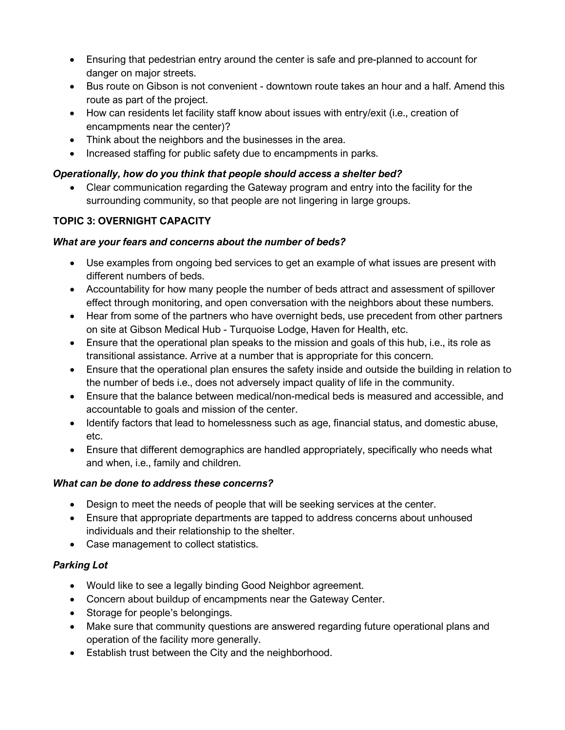- Ensuring that pedestrian entry around the center is safe and pre-planned to account for danger on major streets.
- Bus route on Gibson is not convenient downtown route takes an hour and a half. Amend this route as part of the project.
- How can residents let facility staff know about issues with entry/exit (i.e., creation of encampments near the center)?
- Think about the neighbors and the businesses in the area.
- Increased staffing for public safety due to encampments in parks.

## *Operationally, how do you think that people should access a shelter bed?*

• Clear communication regarding the Gateway program and entry into the facility for the surrounding community, so that people are not lingering in large groups.

## **TOPIC 3: OVERNIGHT CAPACITY**

## *What are your fears and concerns about the number of beds?*

- Use examples from ongoing bed services to get an example of what issues are present with different numbers of beds.
- Accountability for how many people the number of beds attract and assessment of spillover effect through monitoring, and open conversation with the neighbors about these numbers.
- Hear from some of the partners who have overnight beds, use precedent from other partners on site at Gibson Medical Hub - Turquoise Lodge, Haven for Health, etc.
- Ensure that the operational plan speaks to the mission and goals of this hub, i.e., its role as transitional assistance. Arrive at a number that is appropriate for this concern.
- Ensure that the operational plan ensures the safety inside and outside the building in relation to the number of beds i.e., does not adversely impact quality of life in the community.
- Ensure that the balance between medical/non-medical beds is measured and accessible, and accountable to goals and mission of the center.
- Identify factors that lead to homelessness such as age, financial status, and domestic abuse, etc.
- Ensure that different demographics are handled appropriately, specifically who needs what and when, i.e., family and children.

## *What can be done to address these concerns?*

- Design to meet the needs of people that will be seeking services at the center.
- Ensure that appropriate departments are tapped to address concerns about unhoused individuals and their relationship to the shelter.
- Case management to collect statistics.

## *Parking Lot*

- Would like to see a legally binding Good Neighbor agreement.
- Concern about buildup of encampments near the Gateway Center.
- Storage for people's belongings.
- Make sure that community questions are answered regarding future operational plans and operation of the facility more generally.
- Establish trust between the City and the neighborhood.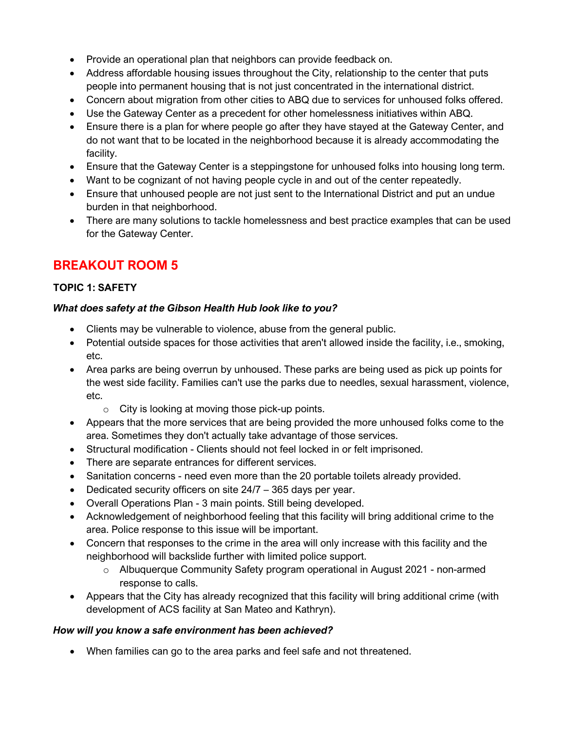- Provide an operational plan that neighbors can provide feedback on.
- Address affordable housing issues throughout the City, relationship to the center that puts people into permanent housing that is not just concentrated in the international district.
- Concern about migration from other cities to ABQ due to services for unhoused folks offered.
- Use the Gateway Center as a precedent for other homelessness initiatives within ABQ.
- Ensure there is a plan for where people go after they have stayed at the Gateway Center, and do not want that to be located in the neighborhood because it is already accommodating the facility.
- Ensure that the Gateway Center is a steppingstone for unhoused folks into housing long term.
- Want to be cognizant of not having people cycle in and out of the center repeatedly.
- Ensure that unhoused people are not just sent to the International District and put an undue burden in that neighborhood.
- There are many solutions to tackle homelessness and best practice examples that can be used for the Gateway Center.

## **BREAKOUT ROOM 5**

## **TOPIC 1: SAFETY**

## *What does safety at the Gibson Health Hub look like to you?*

- Clients may be vulnerable to violence, abuse from the general public.
- Potential outside spaces for those activities that aren't allowed inside the facility, i.e., smoking, etc.
- Area parks are being overrun by unhoused. These parks are being used as pick up points for the west side facility. Families can't use the parks due to needles, sexual harassment, violence, etc.
	- $\circ$  City is looking at moving those pick-up points.
- Appears that the more services that are being provided the more unhoused folks come to the area. Sometimes they don't actually take advantage of those services.
- Structural modification Clients should not feel locked in or felt imprisoned.
- There are separate entrances for different services.
- Sanitation concerns need even more than the 20 portable toilets already provided.
- Dedicated security officers on site 24/7 365 days per year.
- Overall Operations Plan 3 main points. Still being developed.
- Acknowledgement of neighborhood feeling that this facility will bring additional crime to the area. Police response to this issue will be important.
- Concern that responses to the crime in the area will only increase with this facility and the neighborhood will backslide further with limited police support.
	- o Albuquerque Community Safety program operational in August 2021 non-armed response to calls.
- Appears that the City has already recognized that this facility will bring additional crime (with development of ACS facility at San Mateo and Kathryn).

## *How will you know a safe environment has been achieved?*

• When families can go to the area parks and feel safe and not threatened.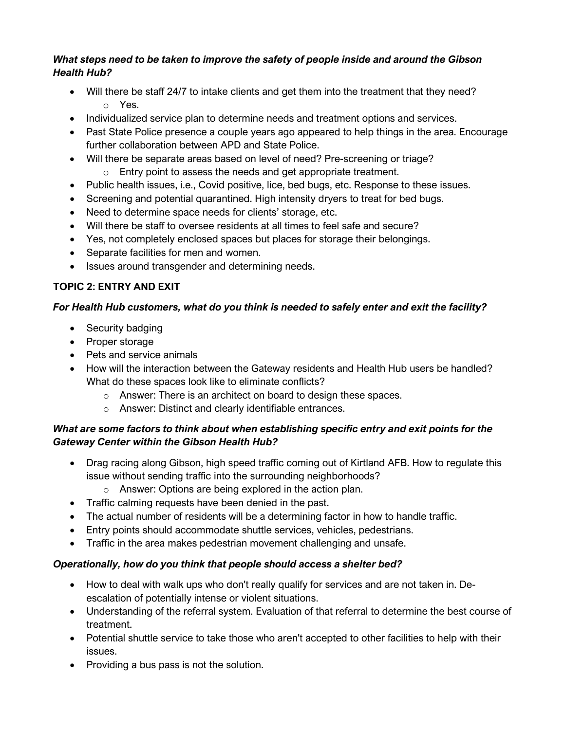## *What steps need to be taken to improve the safety of people inside and around the Gibson Health Hub?*

- Will there be staff 24/7 to intake clients and get them into the treatment that they need? o Yes.
- Individualized service plan to determine needs and treatment options and services.
- Past State Police presence a couple years ago appeared to help things in the area. Encourage further collaboration between APD and State Police.
- Will there be separate areas based on level of need? Pre-screening or triage?
	- o Entry point to assess the needs and get appropriate treatment.
- Public health issues, i.e., Covid positive, lice, bed bugs, etc. Response to these issues.
- Screening and potential quarantined. High intensity dryers to treat for bed bugs.
- Need to determine space needs for clients' storage, etc.
- Will there be staff to oversee residents at all times to feel safe and secure?
- Yes, not completely enclosed spaces but places for storage their belongings.
- Separate facilities for men and women.
- Issues around transgender and determining needs.

## **TOPIC 2: ENTRY AND EXIT**

## *For Health Hub customers, what do you think is needed to safely enter and exit the facility?*

- Security badging
- Proper storage
- Pets and service animals
- How will the interaction between the Gateway residents and Health Hub users be handled? What do these spaces look like to eliminate conflicts?
	- o Answer: There is an architect on board to design these spaces.
	- o Answer: Distinct and clearly identifiable entrances.

## *What are some factors to think about when establishing specific entry and exit points for the Gateway Center within the Gibson Health Hub?*

- Drag racing along Gibson, high speed traffic coming out of Kirtland AFB. How to regulate this issue without sending traffic into the surrounding neighborhoods?
	- o Answer: Options are being explored in the action plan.
- Traffic calming requests have been denied in the past.
- The actual number of residents will be a determining factor in how to handle traffic.
- Entry points should accommodate shuttle services, vehicles, pedestrians.
- Traffic in the area makes pedestrian movement challenging and unsafe.

## *Operationally, how do you think that people should access a shelter bed?*

- How to deal with walk ups who don't really qualify for services and are not taken in. Deescalation of potentially intense or violent situations.
- Understanding of the referral system. Evaluation of that referral to determine the best course of treatment.
- Potential shuttle service to take those who aren't accepted to other facilities to help with their issues.
- Providing a bus pass is not the solution.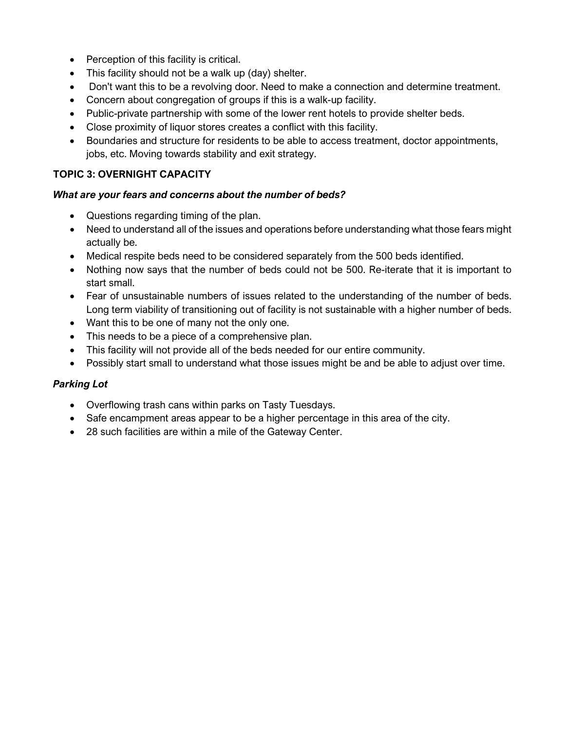- Perception of this facility is critical.
- This facility should not be a walk up (day) shelter.
- Don't want this to be a revolving door. Need to make a connection and determine treatment.
- Concern about congregation of groups if this is a walk-up facility.
- Public-private partnership with some of the lower rent hotels to provide shelter beds.
- Close proximity of liquor stores creates a conflict with this facility.
- Boundaries and structure for residents to be able to access treatment, doctor appointments, jobs, etc. Moving towards stability and exit strategy.

## **TOPIC 3: OVERNIGHT CAPACITY**

#### *What are your fears and concerns about the number of beds?*

- Questions regarding timing of the plan.
- Need to understand all of the issues and operations before understanding what those fears might actually be.
- Medical respite beds need to be considered separately from the 500 beds identified.
- Nothing now says that the number of beds could not be 500. Re-iterate that it is important to start small.
- Fear of unsustainable numbers of issues related to the understanding of the number of beds. Long term viability of transitioning out of facility is not sustainable with a higher number of beds.
- Want this to be one of many not the only one.
- This needs to be a piece of a comprehensive plan.
- This facility will not provide all of the beds needed for our entire community.
- Possibly start small to understand what those issues might be and be able to adjust over time.

## *Parking Lot*

- Overflowing trash cans within parks on Tasty Tuesdays.
- Safe encampment areas appear to be a higher percentage in this area of the city.
- 28 such facilities are within a mile of the Gateway Center.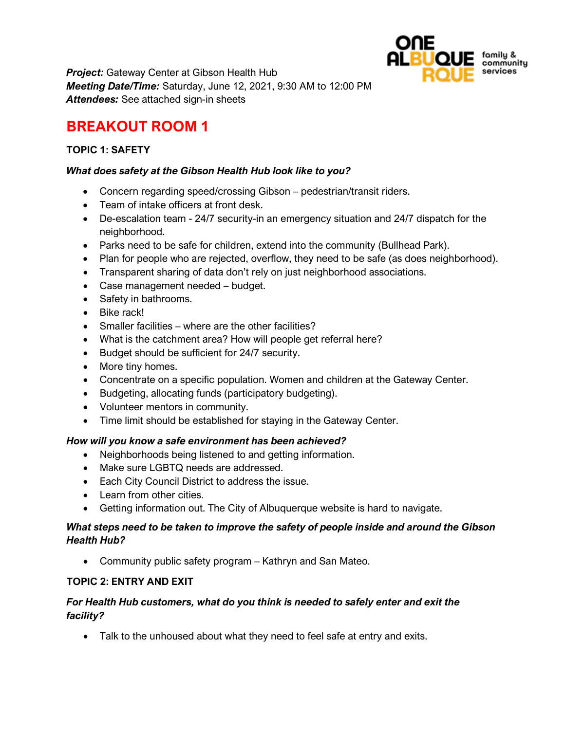

*Project:* Gateway Center at Gibson Health Hub *Meeting Date/Time:* Saturday, June 12, 2021, 9:30 AM to 12:00 PM *Attendees:* See attached sign-in sheets

# **BREAKOUT ROOM 1**

## **TOPIC 1: SAFETY**

#### *What does safety at the Gibson Health Hub look like to you?*

- Concern regarding speed/crossing Gibson pedestrian/transit riders.
- Team of intake officers at front desk.
- De-escalation team 24/7 security-in an emergency situation and 24/7 dispatch for the neighborhood.
- Parks need to be safe for children, extend into the community (Bullhead Park).
- Plan for people who are rejected, overflow, they need to be safe (as does neighborhood).
- Transparent sharing of data don't rely on just neighborhood associations.
- Case management needed budget.
- Safety in bathrooms.
- Bike rack!
- Smaller facilities where are the other facilities?
- What is the catchment area? How will people get referral here?
- Budget should be sufficient for 24/7 security.
- More tiny homes.
- Concentrate on a specific population. Women and children at the Gateway Center.
- Budgeting, allocating funds (participatory budgeting).
- Volunteer mentors in community.
- Time limit should be established for staying in the Gateway Center.

#### *How will you know a safe environment has been achieved?*

- Neighborhoods being listened to and getting information.
- Make sure LGBTQ needs are addressed.
- Each City Council District to address the issue.
- Learn from other cities.
- Getting information out. The City of Albuquerque website is hard to navigate.

#### *What steps need to be taken to improve the safety of people inside and around the Gibson Health Hub?*

• Community public safety program – Kathryn and San Mateo.

#### **TOPIC 2: ENTRY AND EXIT**

## *For Health Hub customers, what do you think is needed to safely enter and exit the facility?*

• Talk to the unhoused about what they need to feel safe at entry and exits.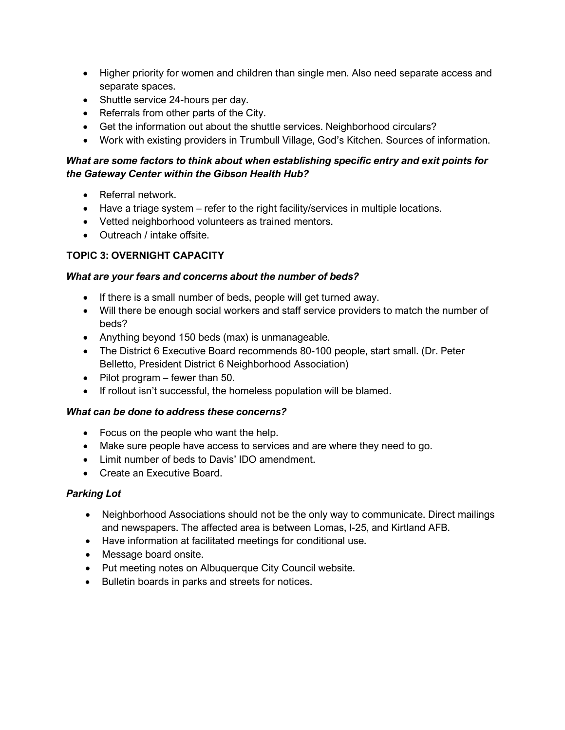- Higher priority for women and children than single men. Also need separate access and separate spaces.
- Shuttle service 24-hours per day.
- Referrals from other parts of the City.
- Get the information out about the shuttle services. Neighborhood circulars?
- Work with existing providers in Trumbull Village, God's Kitchen. Sources of information.

## *What are some factors to think about when establishing specific entry and exit points for the Gateway Center within the Gibson Health Hub?*

- Referral network.
- Have a triage system refer to the right facility/services in multiple locations.
- Vetted neighborhood volunteers as trained mentors.
- Outreach / intake offsite.

## **TOPIC 3: OVERNIGHT CAPACITY**

#### *What are your fears and concerns about the number of beds?*

- If there is a small number of beds, people will get turned away.
- Will there be enough social workers and staff service providers to match the number of beds?
- Anything beyond 150 beds (max) is unmanageable.
- The District 6 Executive Board recommends 80-100 people, start small. (Dr. Peter Belletto, President District 6 Neighborhood Association)
- Pilot program fewer than 50.
- If rollout isn't successful, the homeless population will be blamed.

## *What can be done to address these concerns?*

- Focus on the people who want the help.
- Make sure people have access to services and are where they need to go.
- Limit number of beds to Davis' IDO amendment.
- Create an Executive Board.

## *Parking Lot*

- Neighborhood Associations should not be the only way to communicate. Direct mailings and newspapers. The affected area is between Lomas, I-25, and Kirtland AFB.
- Have information at facilitated meetings for conditional use.
- Message board onsite.
- Put meeting notes on Albuquerque City Council website.
- Bulletin boards in parks and streets for notices.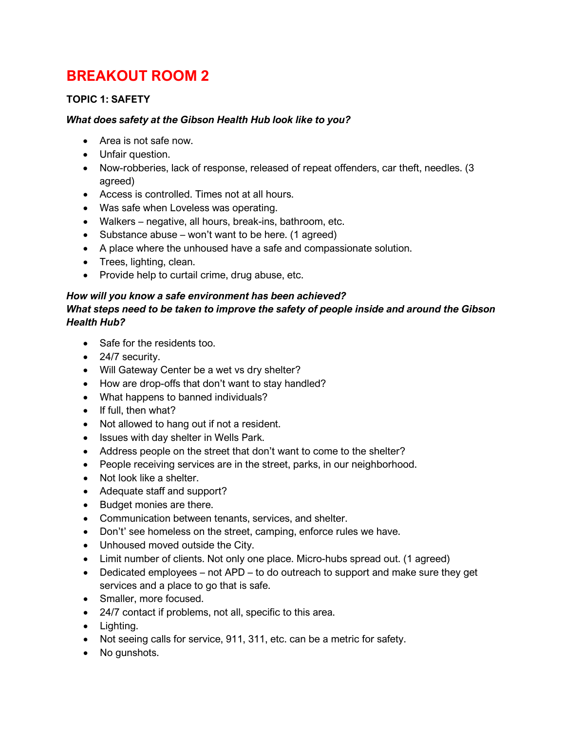# **BREAKOUT ROOM 2**

## **TOPIC 1: SAFETY**

#### *What does safety at the Gibson Health Hub look like to you?*

- Area is not safe now.
- Unfair question.
- Now-robberies, lack of response, released of repeat offenders, car theft, needles. (3 agreed)
- Access is controlled. Times not at all hours.
- Was safe when Loveless was operating.
- Walkers negative, all hours, break-ins, bathroom, etc.
- Substance abuse won't want to be here. (1 agreed)
- A place where the unhoused have a safe and compassionate solution.
- Trees, lighting, clean.
- Provide help to curtail crime, drug abuse, etc.

## *How will you know a safe environment has been achieved?*

#### *What steps need to be taken to improve the safety of people inside and around the Gibson Health Hub?*

- Safe for the residents too.
- 24/7 security.
- Will Gateway Center be a wet vs dry shelter?
- How are drop-offs that don't want to stay handled?
- What happens to banned individuals?
- If full, then what?
- Not allowed to hang out if not a resident.
- Issues with day shelter in Wells Park.
- Address people on the street that don't want to come to the shelter?
- People receiving services are in the street, parks, in our neighborhood.
- Not look like a shelter.
- Adequate staff and support?
- Budget monies are there.
- Communication between tenants, services, and shelter.
- Don't' see homeless on the street, camping, enforce rules we have.
- Unhoused moved outside the City.
- Limit number of clients. Not only one place. Micro-hubs spread out. (1 agreed)
- Dedicated employees not APD to do outreach to support and make sure they get services and a place to go that is safe.
- Smaller, more focused.
- 24/7 contact if problems, not all, specific to this area.
- Lighting.
- Not seeing calls for service, 911, 311, etc. can be a metric for safety.
- No gunshots.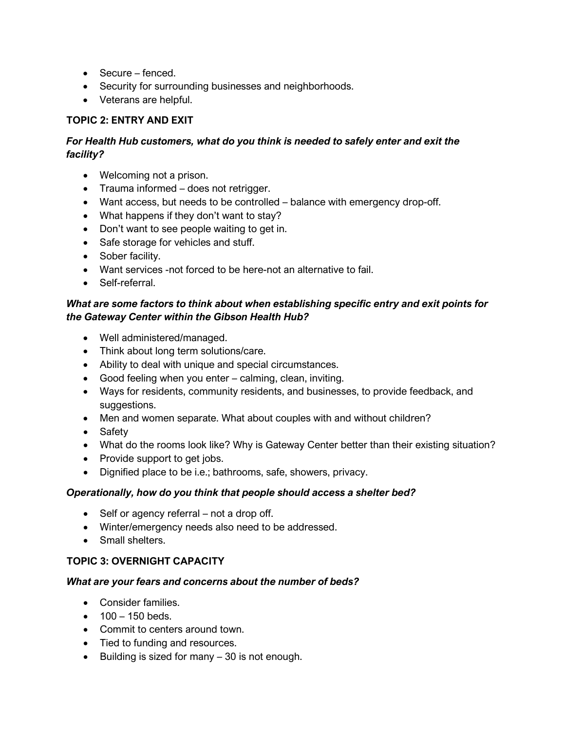- Secure fenced.
- Security for surrounding businesses and neighborhoods.
- Veterans are helpful.

## **TOPIC 2: ENTRY AND EXIT**

## *For Health Hub customers, what do you think is needed to safely enter and exit the facility?*

- Welcoming not a prison.
- Trauma informed does not retrigger.
- Want access, but needs to be controlled balance with emergency drop-off.
- What happens if they don't want to stay?
- Don't want to see people waiting to get in.
- Safe storage for vehicles and stuff.
- Sober facility.
- Want services -not forced to be here-not an alternative to fail.
- Self-referral.

## *What are some factors to think about when establishing specific entry and exit points for the Gateway Center within the Gibson Health Hub?*

- Well administered/managed.
- Think about long term solutions/care.
- Ability to deal with unique and special circumstances.
- Good feeling when you enter calming, clean, inviting.
- Ways for residents, community residents, and businesses, to provide feedback, and suggestions.
- Men and women separate. What about couples with and without children?
- Safety
- What do the rooms look like? Why is Gateway Center better than their existing situation?
- Provide support to get jobs.
- Dignified place to be i.e.; bathrooms, safe, showers, privacy.

## *Operationally, how do you think that people should access a shelter bed?*

- Self or agency referral not a drop off.
- Winter/emergency needs also need to be addressed.
- Small shelters.

## **TOPIC 3: OVERNIGHT CAPACITY**

- Consider families.
- $100 150$  beds.
- Commit to centers around town.
- Tied to funding and resources.
- Building is sized for many 30 is not enough.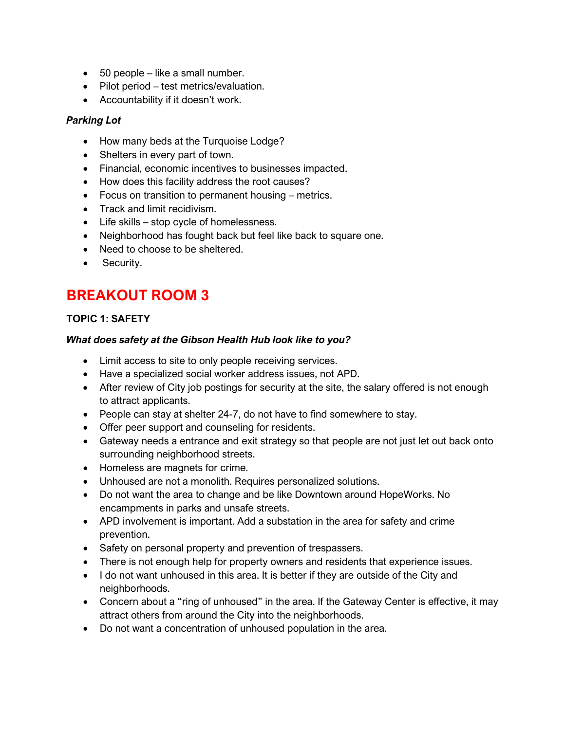- 50 people like a small number.
- Pilot period test metrics/evaluation.
- Accountability if it doesn't work.

#### *Parking Lot*

- How many beds at the Turquoise Lodge?
- Shelters in every part of town.
- Financial, economic incentives to businesses impacted.
- How does this facility address the root causes?
- Focus on transition to permanent housing metrics.
- Track and limit recidivism.
- Life skills stop cycle of homelessness.
- Neighborhood has fought back but feel like back to square one.
- Need to choose to be sheltered.
- Security.

# **BREAKOUT ROOM 3**

#### **TOPIC 1: SAFETY**

#### *What does safety at the Gibson Health Hub look like to you?*

- Limit access to site to only people receiving services.
- Have a specialized social worker address issues, not APD.
- After review of City job postings for security at the site, the salary offered is not enough to attract applicants.
- People can stay at shelter 24-7, do not have to find somewhere to stay.
- Offer peer support and counseling for residents.
- Gateway needs a entrance and exit strategy so that people are not just let out back onto surrounding neighborhood streets.
- Homeless are magnets for crime.
- Unhoused are not a monolith. Requires personalized solutions.
- Do not want the area to change and be like Downtown around HopeWorks. No encampments in parks and unsafe streets.
- APD involvement is important. Add a substation in the area for safety and crime prevention.
- Safety on personal property and prevention of trespassers.
- There is not enough help for property owners and residents that experience issues.
- I do not want unhoused in this area. It is better if they are outside of the City and neighborhoods.
- Concern about a "ring of unhoused" in the area. If the Gateway Center is effective, it may attract others from around the City into the neighborhoods.
- Do not want a concentration of unhoused population in the area.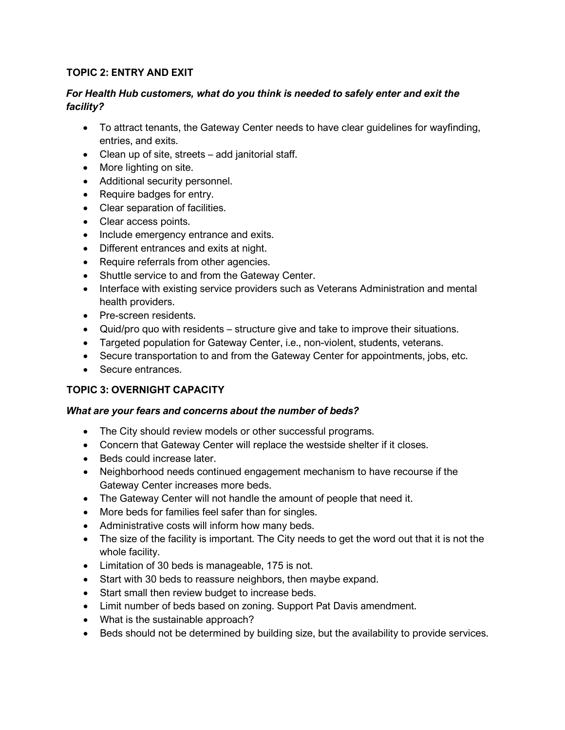#### **TOPIC 2: ENTRY AND EXIT**

#### *For Health Hub customers, what do you think is needed to safely enter and exit the facility?*

- To attract tenants, the Gateway Center needs to have clear guidelines for wayfinding, entries, and exits.
- Clean up of site, streets add janitorial staff.
- More lighting on site.
- Additional security personnel.
- Require badges for entry.
- Clear separation of facilities.
- Clear access points.
- Include emergency entrance and exits.
- Different entrances and exits at night.
- Require referrals from other agencies.
- Shuttle service to and from the Gateway Center.
- Interface with existing service providers such as Veterans Administration and mental health providers.
- Pre-screen residents.
- Quid/pro quo with residents structure give and take to improve their situations.
- Targeted population for Gateway Center, i.e., non-violent, students, veterans.
- Secure transportation to and from the Gateway Center for appointments, jobs, etc.
- Secure entrances.

## **TOPIC 3: OVERNIGHT CAPACITY**

- The City should review models or other successful programs.
- Concern that Gateway Center will replace the westside shelter if it closes.
- Beds could increase later.
- Neighborhood needs continued engagement mechanism to have recourse if the Gateway Center increases more beds.
- The Gateway Center will not handle the amount of people that need it.
- More beds for families feel safer than for singles.
- Administrative costs will inform how many beds.
- The size of the facility is important. The City needs to get the word out that it is not the whole facility.
- Limitation of 30 beds is manageable, 175 is not.
- Start with 30 beds to reassure neighbors, then maybe expand.
- Start small then review budget to increase beds.
- Limit number of beds based on zoning. Support Pat Davis amendment.
- What is the sustainable approach?
- Beds should not be determined by building size, but the availability to provide services.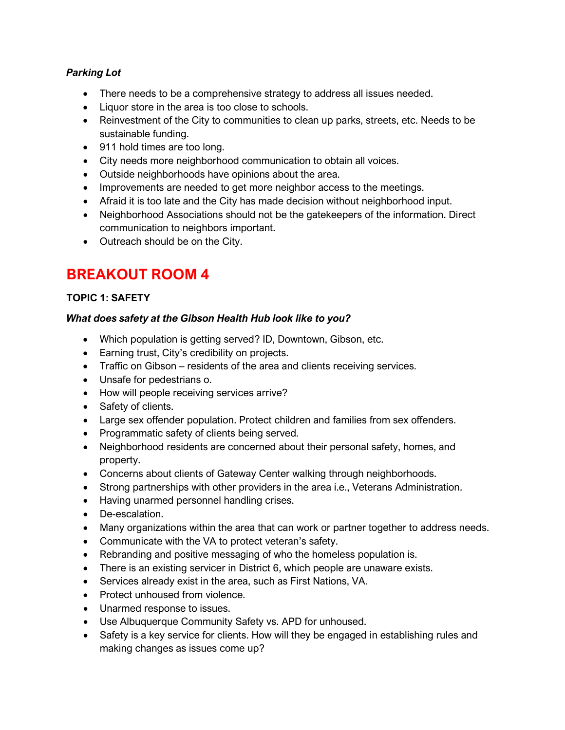## *Parking Lot*

- There needs to be a comprehensive strategy to address all issues needed.
- Liquor store in the area is too close to schools.
- Reinvestment of the City to communities to clean up parks, streets, etc. Needs to be sustainable funding.
- 911 hold times are too long.
- City needs more neighborhood communication to obtain all voices.
- Outside neighborhoods have opinions about the area.
- Improvements are needed to get more neighbor access to the meetings.
- Afraid it is too late and the City has made decision without neighborhood input.
- Neighborhood Associations should not be the gatekeepers of the information. Direct communication to neighbors important.
- Outreach should be on the City.

# **BREAKOUT ROOM 4**

## **TOPIC 1: SAFETY**

## *What does safety at the Gibson Health Hub look like to you?*

- Which population is getting served? ID, Downtown, Gibson, etc.
- Earning trust, City's credibility on projects.
- Traffic on Gibson residents of the area and clients receiving services.
- Unsafe for pedestrians o.
- How will people receiving services arrive?
- Safety of clients.
- Large sex offender population. Protect children and families from sex offenders.
- Programmatic safety of clients being served.
- Neighborhood residents are concerned about their personal safety, homes, and property.
- Concerns about clients of Gateway Center walking through neighborhoods.
- Strong partnerships with other providers in the area i.e., Veterans Administration.
- Having unarmed personnel handling crises.
- De-escalation.
- Many organizations within the area that can work or partner together to address needs.
- Communicate with the VA to protect veteran's safety.
- Rebranding and positive messaging of who the homeless population is.
- There is an existing servicer in District 6, which people are unaware exists.
- Services already exist in the area, such as First Nations, VA.
- Protect unhoused from violence.
- Unarmed response to issues.
- Use Albuquerque Community Safety vs. APD for unhoused.
- Safety is a key service for clients. How will they be engaged in establishing rules and making changes as issues come up?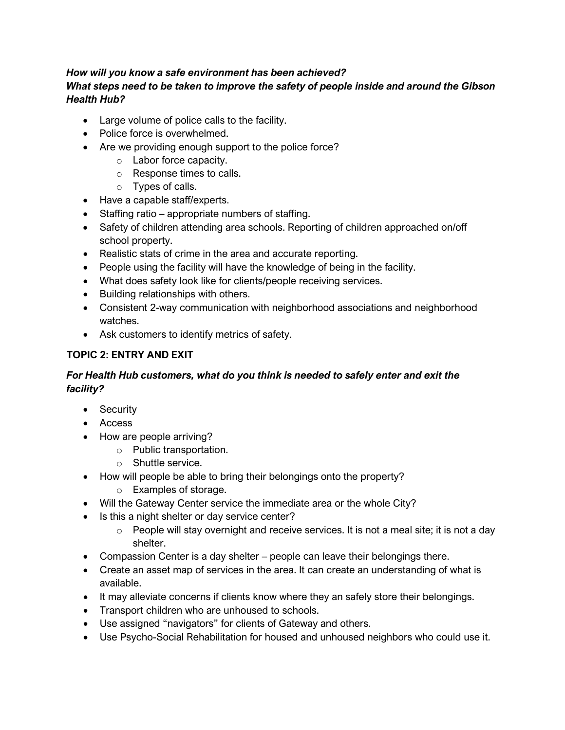#### *How will you know a safe environment has been achieved? What steps need to be taken to improve the safety of people inside and around the Gibson Health Hub?*

- Large volume of police calls to the facility.
- Police force is overwhelmed.
- Are we providing enough support to the police force?
	- o Labor force capacity.
	- o Response times to calls.
	- o Types of calls.
- Have a capable staff/experts.
- Staffing ratio appropriate numbers of staffing.
- Safety of children attending area schools. Reporting of children approached on/off school property.
- Realistic stats of crime in the area and accurate reporting.
- People using the facility will have the knowledge of being in the facility.
- What does safety look like for clients/people receiving services.
- Building relationships with others.
- Consistent 2-way communication with neighborhood associations and neighborhood watches.
- Ask customers to identify metrics of safety.

## **TOPIC 2: ENTRY AND EXIT**

## *For Health Hub customers, what do you think is needed to safely enter and exit the facility?*

- Security
- Access
- How are people arriving?
	- o Public transportation.
	- o Shuttle service.
- How will people be able to bring their belongings onto the property?
	- o Examples of storage.
- Will the Gateway Center service the immediate area or the whole City?
- Is this a night shelter or day service center?
	- o People will stay overnight and receive services. It is not a meal site; it is not a day shelter.
- Compassion Center is a day shelter people can leave their belongings there.
- Create an asset map of services in the area. It can create an understanding of what is available.
- It may alleviate concerns if clients know where they an safely store their belongings.
- Transport children who are unhoused to schools.
- Use assigned "navigators" for clients of Gateway and others.
- Use Psycho-Social Rehabilitation for housed and unhoused neighbors who could use it.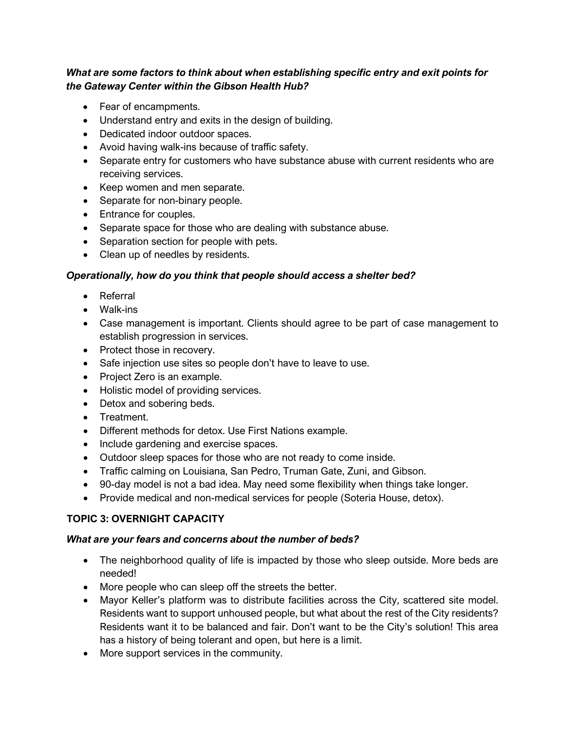## *What are some factors to think about when establishing specific entry and exit points for the Gateway Center within the Gibson Health Hub?*

- Fear of encampments.
- Understand entry and exits in the design of building.
- Dedicated indoor outdoor spaces.
- Avoid having walk-ins because of traffic safety.
- Separate entry for customers who have substance abuse with current residents who are receiving services.
- Keep women and men separate.
- Separate for non-binary people.
- Entrance for couples.
- Separate space for those who are dealing with substance abuse.
- Separation section for people with pets.
- Clean up of needles by residents.

## *Operationally, how do you think that people should access a shelter bed?*

- Referral
- Walk-ins
- Case management is important. Clients should agree to be part of case management to establish progression in services.
- Protect those in recovery.
- Safe injection use sites so people don't have to leave to use.
- Project Zero is an example.
- Holistic model of providing services.
- Detox and sobering beds.
- Treatment.
- Different methods for detox. Use First Nations example.
- Include gardening and exercise spaces.
- Outdoor sleep spaces for those who are not ready to come inside.
- Traffic calming on Louisiana, San Pedro, Truman Gate, Zuni, and Gibson.
- 90-day model is not a bad idea. May need some flexibility when things take longer.
- Provide medical and non-medical services for people (Soteria House, detox).

## **TOPIC 3: OVERNIGHT CAPACITY**

- The neighborhood quality of life is impacted by those who sleep outside. More beds are needed!
- More people who can sleep off the streets the better.
- Mayor Keller's platform was to distribute facilities across the City, scattered site model. Residents want to support unhoused people, but what about the rest of the City residents? Residents want it to be balanced and fair. Don't want to be the City's solution! This area has a history of being tolerant and open, but here is a limit.
- More support services in the community.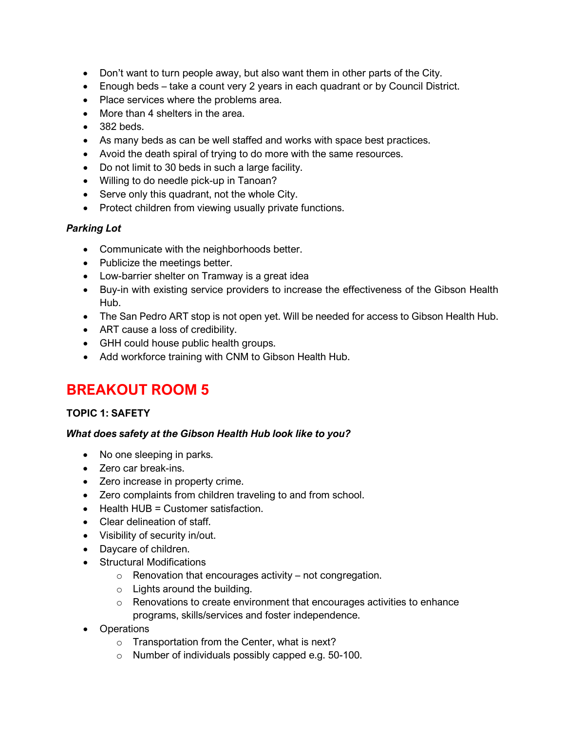- Don't want to turn people away, but also want them in other parts of the City.
- Enough beds take a count very 2 years in each quadrant or by Council District.
- Place services where the problems area.
- More than 4 shelters in the area.
- 382 beds.
- As many beds as can be well staffed and works with space best practices.
- Avoid the death spiral of trying to do more with the same resources.
- Do not limit to 30 beds in such a large facility.
- Willing to do needle pick-up in Tanoan?
- Serve only this quadrant, not the whole City.
- Protect children from viewing usually private functions.

#### *Parking Lot*

- Communicate with the neighborhoods better.
- Publicize the meetings better.
- Low-barrier shelter on Tramway is a great idea
- Buy-in with existing service providers to increase the effectiveness of the Gibson Health Hub.
- The San Pedro ART stop is not open yet. Will be needed for access to Gibson Health Hub.
- ART cause a loss of credibility.
- GHH could house public health groups.
- Add workforce training with CNM to Gibson Health Hub.

# **BREAKOUT ROOM 5**

## **TOPIC 1: SAFETY**

#### *What does safety at the Gibson Health Hub look like to you?*

- No one sleeping in parks.
- Zero car break-ins.
- Zero increase in property crime.
- Zero complaints from children traveling to and from school.
- Health HUB = Customer satisfaction.
- Clear delineation of staff.
- Visibility of security in/out.
- Daycare of children.
- Structural Modifications
	- $\circ$  Renovation that encourages activity not congregation.
	- o Lights around the building.
	- o Renovations to create environment that encourages activities to enhance programs, skills/services and foster independence.
- Operations
	- o Transportation from the Center, what is next?
	- o Number of individuals possibly capped e.g. 50-100.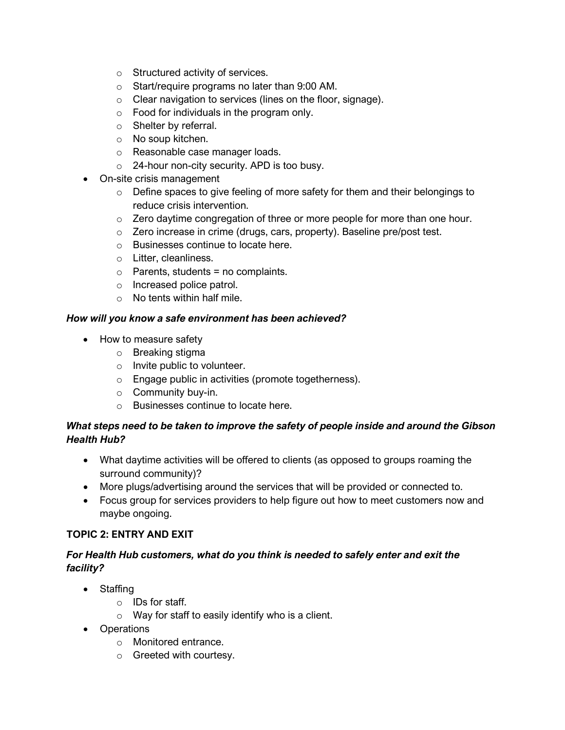- o Structured activity of services.
- o Start/require programs no later than 9:00 AM.
- o Clear navigation to services (lines on the floor, signage).
- o Food for individuals in the program only.
- o Shelter by referral.
- o No soup kitchen.
- o Reasonable case manager loads.
- o 24-hour non-city security. APD is too busy.
- On-site crisis management
	- o Define spaces to give feeling of more safety for them and their belongings to reduce crisis intervention.
	- $\circ$  Zero daytime congregation of three or more people for more than one hour.
	- o Zero increase in crime (drugs, cars, property). Baseline pre/post test.
	- o Businesses continue to locate here.
	- o Litter, cleanliness.
	- $\circ$  Parents, students = no complaints.
	- o Increased police patrol.
	- o No tents within half mile.

## *How will you know a safe environment has been achieved?*

- How to measure safety
	- o Breaking stigma
	- o Invite public to volunteer.
	- o Engage public in activities (promote togetherness).
	- $\circ$  Community buy-in.
	- o Businesses continue to locate here.

## *What steps need to be taken to improve the safety of people inside and around the Gibson Health Hub?*

- What daytime activities will be offered to clients (as opposed to groups roaming the surround community)?
- More plugs/advertising around the services that will be provided or connected to.
- Focus group for services providers to help figure out how to meet customers now and maybe ongoing.

## **TOPIC 2: ENTRY AND EXIT**

## *For Health Hub customers, what do you think is needed to safely enter and exit the facility?*

- Staffing
	- o IDs for staff.
	- $\circ$  Way for staff to easily identify who is a client.
- Operations
	- o Monitored entrance.
	- o Greeted with courtesy.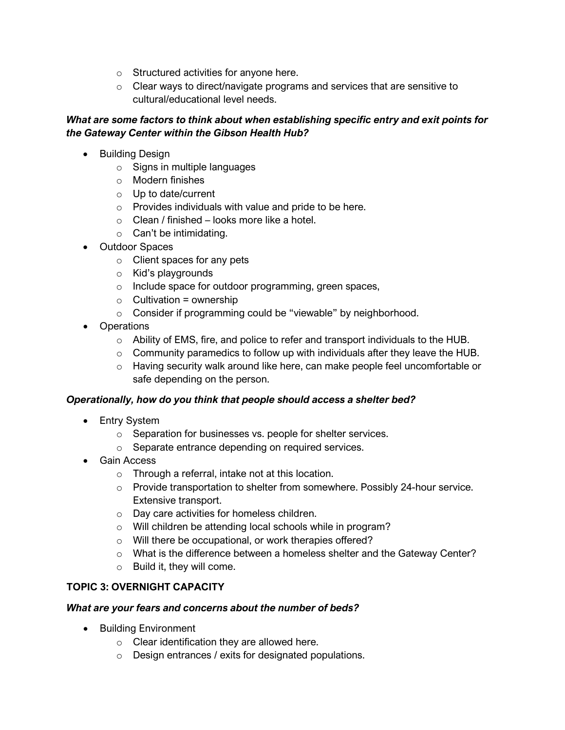- o Structured activities for anyone here.
- o Clear ways to direct/navigate programs and services that are sensitive to cultural/educational level needs.

## *What are some factors to think about when establishing specific entry and exit points for the Gateway Center within the Gibson Health Hub?*

- Building Design
	- o Signs in multiple languages
	- o Modern finishes
	- o Up to date/current
	- o Provides individuals with value and pride to be here.
	- $\circ$  Clean / finished looks more like a hotel.
	- $\circ$  Can't be intimidating.
- Outdoor Spaces
	- o Client spaces for any pets
	- o Kid's playgrounds
	- o Include space for outdoor programming, green spaces,
	- $\circ$  Cultivation = ownership
	- o Consider if programming could be "viewable" by neighborhood.
- Operations
	- o Ability of EMS, fire, and police to refer and transport individuals to the HUB.
	- $\circ$  Community paramedics to follow up with individuals after they leave the HUB.
	- $\circ$  Having security walk around like here, can make people feel uncomfortable or safe depending on the person.

## *Operationally, how do you think that people should access a shelter bed?*

- Entry System
	- o Separation for businesses vs. people for shelter services.
	- o Separate entrance depending on required services.
- Gain Access
	- o Through a referral, intake not at this location.
	- $\circ$  Provide transportation to shelter from somewhere. Possibly 24-hour service. Extensive transport.
	- o Day care activities for homeless children.
	- o Will children be attending local schools while in program?
	- o Will there be occupational, or work therapies offered?
	- $\circ$  What is the difference between a homeless shelter and the Gateway Center?
	- o Build it, they will come.

## **TOPIC 3: OVERNIGHT CAPACITY**

- Building Environment
	- o Clear identification they are allowed here.
	- o Design entrances / exits for designated populations.